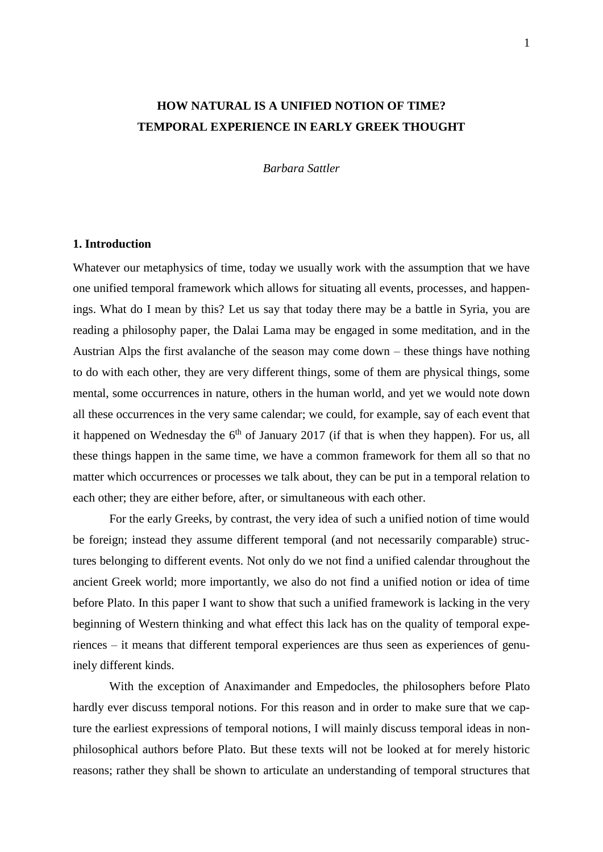# **HOW NATURAL IS A UNIFIED NOTION OF TIME? TEMPORAL EXPERIENCE IN EARLY GREEK THOUGHT**

*Barbara Sattler*

## **1. Introduction**

Whatever our metaphysics of time, today we usually work with the assumption that we have one unified temporal framework which allows for situating all events, processes, and happenings. What do I mean by this? Let us say that today there may be a battle in Syria, you are reading a philosophy paper, the Dalai Lama may be engaged in some meditation, and in the Austrian Alps the first avalanche of the season may come down – these things have nothing to do with each other, they are very different things, some of them are physical things, some mental, some occurrences in nature, others in the human world, and yet we would note down all these occurrences in the very same calendar; we could, for example, say of each event that it happened on Wednesday the  $6<sup>th</sup>$  of January 2017 (if that is when they happen). For us, all these things happen in the same time, we have a common framework for them all so that no matter which occurrences or processes we talk about, they can be put in a temporal relation to each other; they are either before, after, or simultaneous with each other.

For the early Greeks, by contrast, the very idea of such a unified notion of time would be foreign; instead they assume different temporal (and not necessarily comparable) structures belonging to different events. Not only do we not find a unified calendar throughout the ancient Greek world; more importantly, we also do not find a unified notion or idea of time before Plato. In this paper I want to show that such a unified framework is lacking in the very beginning of Western thinking and what effect this lack has on the quality of temporal experiences – it means that different temporal experiences are thus seen as experiences of genuinely different kinds.

With the exception of Anaximander and Empedocles, the philosophers before Plato hardly ever discuss temporal notions. For this reason and in order to make sure that we capture the earliest expressions of temporal notions, I will mainly discuss temporal ideas in nonphilosophical authors before Plato. But these texts will not be looked at for merely historic reasons; rather they shall be shown to articulate an understanding of temporal structures that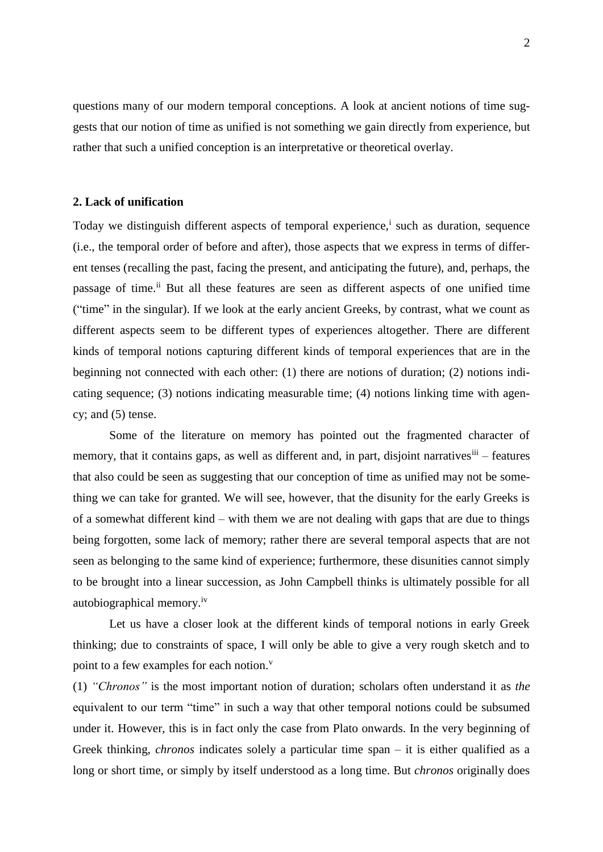questions many of our modern temporal conceptions. A look at ancient notions of time suggests that our notion of time as unified is not something we gain directly from experience, but rather that such a unified conception is an interpretative or theoretical overlay.

## **2. Lack of unification**

Today we distinguish different aspects of temporal experience,<sup>i</sup> such as duration, sequence (i.e., the temporal order of before and after), those aspects that we express in terms of different tenses (recalling the past, facing the present, and anticipating the future), and, perhaps, the passage of time.<sup>ii</sup> But all these features are seen as different aspects of one unified time ("time" in the singular). If we look at the early ancient Greeks, by contrast, what we count as different aspects seem to be different types of experiences altogether. There are different kinds of temporal notions capturing different kinds of temporal experiences that are in the beginning not connected with each other: (1) there are notions of duration; (2) notions indicating sequence; (3) notions indicating measurable time; (4) notions linking time with agency; and (5) tense.

Some of the literature on memory has pointed out the fragmented character of memory, that it contains gaps, as well as different and, in part, disjoint narratives<sup>iii</sup> – features that also could be seen as suggesting that our conception of time as unified may not be something we can take for granted. We will see, however, that the disunity for the early Greeks is of a somewhat different kind – with them we are not dealing with gaps that are due to things being forgotten, some lack of memory; rather there are several temporal aspects that are not seen as belonging to the same kind of experience; furthermore, these disunities cannot simply to be brought into a linear succession, as John Campbell thinks is ultimately possible for all autobiographical memory.iv

Let us have a closer look at the different kinds of temporal notions in early Greek thinking; due to constraints of space, I will only be able to give a very rough sketch and to point to a few examples for each notion.<sup>v</sup>

(1) *"Chronos"* is the most important notion of duration; scholars often understand it as *the* equivalent to our term "time" in such a way that other temporal notions could be subsumed under it. However, this is in fact only the case from Plato onwards. In the very beginning of Greek thinking, *chronos* indicates solely a particular time span – it is either qualified as a long or short time, or simply by itself understood as a long time. But *chronos* originally does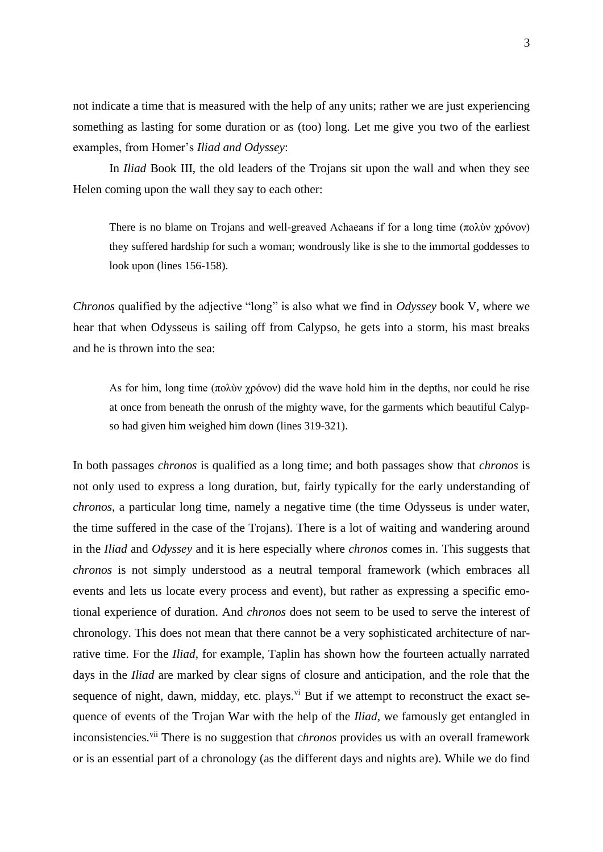not indicate a time that is measured with the help of any units; rather we are just experiencing something as lasting for some duration or as (too) long. Let me give you two of the earliest examples, from Homer's *Iliad and Odyssey*:

In *Iliad* Book III, the old leaders of the Trojans sit upon the wall and when they see Helen coming upon the wall they say to each other:

There is no blame on Trojans and well-greaved Achaeans if for a long time (πολύν χρόνον) they suffered hardship for such a woman; wondrously like is she to the immortal goddesses to look upon (lines 156-158).

*Chronos* qualified by the adjective "long" is also what we find in *Odyssey* book V, where we hear that when Odysseus is sailing off from Calypso, he gets into a storm, his mast breaks and he is thrown into the sea:

As for him, long time (πολύν χρόνον) did the wave hold him in the depths, nor could he rise at once from beneath the onrush of the mighty wave, for the garments which beautiful Calypso had given him weighed him down (lines 319-321).

In both passages *chronos* is qualified as a long time; and both passages show that *chronos* is not only used to express a long duration, but, fairly typically for the early understanding of *chronos*, a particular long time, namely a negative time (the time Odysseus is under water, the time suffered in the case of the Trojans). There is a lot of waiting and wandering around in the *Iliad* and *Odyssey* and it is here especially where *chronos* comes in. This suggests that *chronos* is not simply understood as a neutral temporal framework (which embraces all events and lets us locate every process and event), but rather as expressing a specific emotional experience of duration. And *chronos* does not seem to be used to serve the interest of chronology. This does not mean that there cannot be a very sophisticated architecture of narrative time. For the *Iliad*, for example, Taplin has shown how the fourteen actually narrated days in the *Iliad* are marked by clear signs of closure and anticipation, and the role that the sequence of night, dawn, midday, etc. plays.<sup>vi</sup> But if we attempt to reconstruct the exact sequence of events of the Trojan War with the help of the *Iliad*, we famously get entangled in inconsistencies.<sup>vii</sup> There is no suggestion that *chronos* provides us with an overall framework or is an essential part of a chronology (as the different days and nights are). While we do find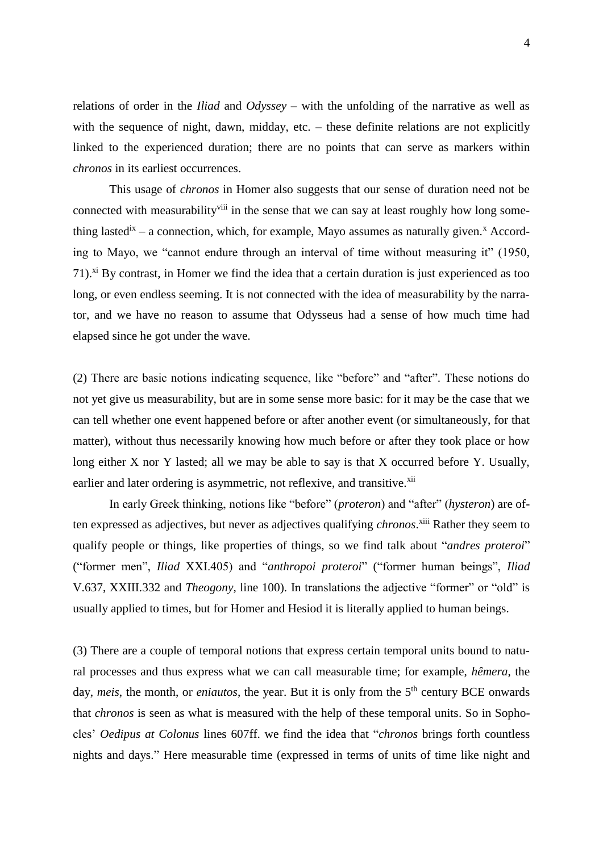relations of order in the *Iliad* and *Odyssey* – with the unfolding of the narrative as well as with the sequence of night, dawn, midday, etc. – these definite relations are not explicitly linked to the experienced duration; there are no points that can serve as markers within *chronos* in its earliest occurrences.

This usage of *chronos* in Homer also suggests that our sense of duration need not be connected with measurability<sup>viii</sup> in the sense that we can say at least roughly how long something lasted<sup>ix</sup> – a connection, which, for example, Mayo assumes as naturally given.<sup>x</sup> According to Mayo, we "cannot endure through an interval of time without measuring it" (1950, 71).<sup>xi</sup> By contrast, in Homer we find the idea that a certain duration is just experienced as too long, or even endless seeming. It is not connected with the idea of measurability by the narrator, and we have no reason to assume that Odysseus had a sense of how much time had elapsed since he got under the wave.

(2) There are basic notions indicating sequence, like "before" and "after". These notions do not yet give us measurability, but are in some sense more basic: for it may be the case that we can tell whether one event happened before or after another event (or simultaneously, for that matter), without thus necessarily knowing how much before or after they took place or how long either X nor Y lasted; all we may be able to say is that X occurred before Y. Usually, earlier and later ordering is asymmetric, not reflexive, and transitive.<sup>xii</sup>

In early Greek thinking, notions like "before" (*proteron*) and "after" (*hysteron*) are often expressed as adjectives, but never as adjectives qualifying *chronos*. xiii Rather they seem to qualify people or things, like properties of things, so we find talk about "*andres proteroi*" ("former men", *Iliad* XXI.405) and "*anthropoi proteroi*" ("former human beings", *Iliad* V.637, XXIII.332 and *Theogony*, line 100). In translations the adjective "former" or "old" is usually applied to times, but for Homer and Hesiod it is literally applied to human beings.

(3) There are a couple of temporal notions that express certain temporal units bound to natural processes and thus express what we can call measurable time; for example, *hêmera*, the day, *meis*, the month, or *eniautos*, the year. But it is only from the 5<sup>th</sup> century BCE onwards that *chronos* is seen as what is measured with the help of these temporal units. So in Sophocles' *Oedipus at Colonus* lines 607ff. we find the idea that "*chronos* brings forth countless nights and days." Here measurable time (expressed in terms of units of time like night and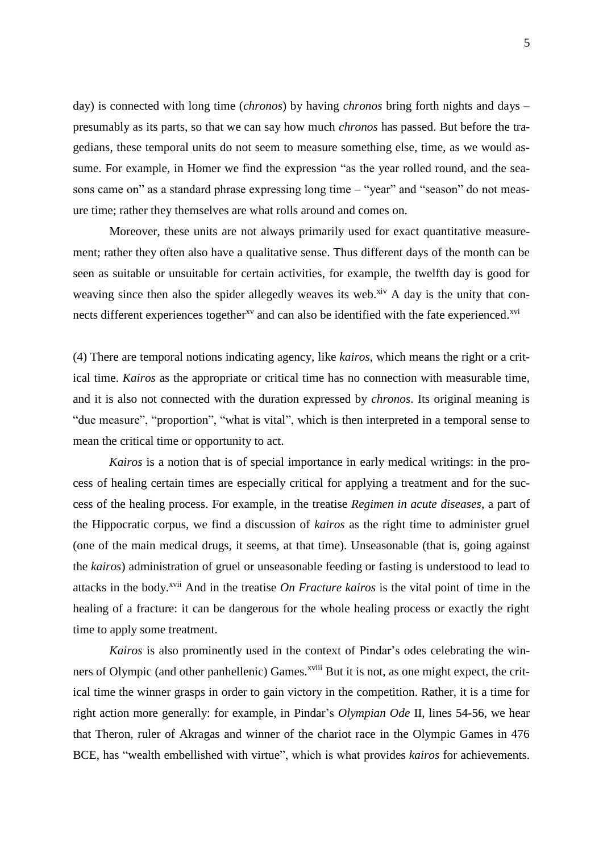day) is connected with long time (*chronos*) by having *chronos* bring forth nights and days – presumably as its parts, so that we can say how much *chronos* has passed. But before the tragedians, these temporal units do not seem to measure something else, time, as we would assume. For example, in Homer we find the expression "as the year rolled round, and the seasons came on" as a standard phrase expressing long time – "year" and "season" do not measure time; rather they themselves are what rolls around and comes on.

Moreover, these units are not always primarily used for exact quantitative measurement; rather they often also have a qualitative sense. Thus different days of the month can be seen as suitable or unsuitable for certain activities, for example, the twelfth day is good for weaving since then also the spider allegedly weaves its web. $^{xiv}$  A day is the unity that connects different experiences together<sup>xv</sup> and can also be identified with the fate experienced.<sup>xvi</sup>

(4) There are temporal notions indicating agency, like *kairos*, which means the right or a critical time. *Kairos* as the appropriate or critical time has no connection with measurable time, and it is also not connected with the duration expressed by *chronos*. Its original meaning is "due measure", "proportion", "what is vital", which is then interpreted in a temporal sense to mean the critical time or opportunity to act.

*Kairos* is a notion that is of special importance in early medical writings: in the process of healing certain times are especially critical for applying a treatment and for the success of the healing process. For example, in the treatise *Regimen in acute diseases*, a part of the Hippocratic corpus, we find a discussion of *kairos* as the right time to administer gruel (one of the main medical drugs, it seems, at that time). Unseasonable (that is, going against the *kairos*) administration of gruel or unseasonable feeding or fasting is understood to lead to attacks in the body. xvii And in the treatise *On Fracture kairos* is the vital point of time in the healing of a fracture: it can be dangerous for the whole healing process or exactly the right time to apply some treatment.

*Kairos* is also prominently used in the context of Pindar's odes celebrating the winners of Olympic (and other panhellenic) Games.<sup>xviii</sup> But it is not, as one might expect, the critical time the winner grasps in order to gain victory in the competition. Rather, it is a time for right action more generally: for example, in Pindar's *Olympian Ode* II, lines 54-56, we hear that Theron, ruler of Akragas and winner of the chariot race in the Olympic Games in 476 BCE, has "wealth embellished with virtue", which is what provides *kairos* for achievements.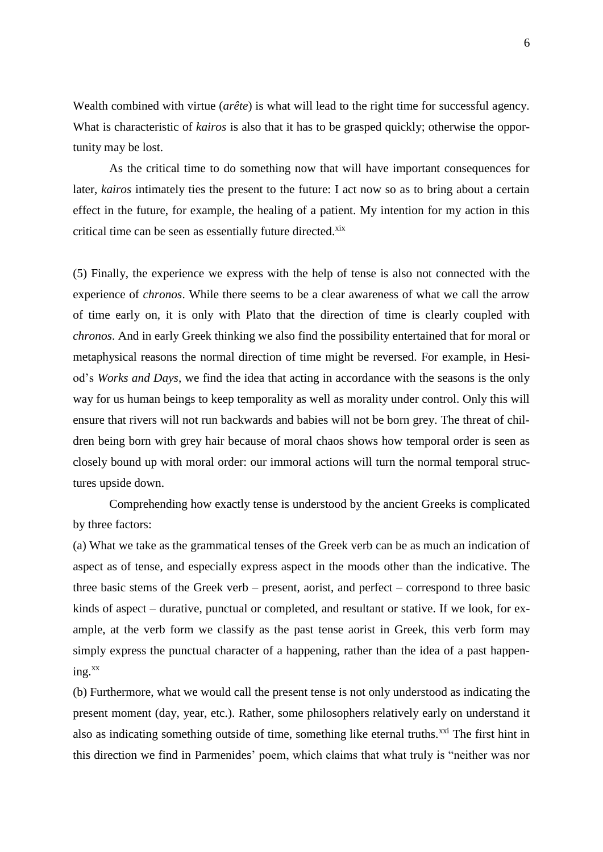Wealth combined with virtue (*arête*) is what will lead to the right time for successful agency. What is characteristic of *kairos* is also that it has to be grasped quickly; otherwise the opportunity may be lost.

As the critical time to do something now that will have important consequences for later, *kairos* intimately ties the present to the future: I act now so as to bring about a certain effect in the future, for example, the healing of a patient. My intention for my action in this critical time can be seen as essentially future directed.<sup>xix</sup>

(5) Finally, the experience we express with the help of tense is also not connected with the experience of *chronos*. While there seems to be a clear awareness of what we call the arrow of time early on, it is only with Plato that the direction of time is clearly coupled with *chronos*. And in early Greek thinking we also find the possibility entertained that for moral or metaphysical reasons the normal direction of time might be reversed. For example, in Hesiod's *Works and Days*, we find the idea that acting in accordance with the seasons is the only way for us human beings to keep temporality as well as morality under control. Only this will ensure that rivers will not run backwards and babies will not be born grey. The threat of children being born with grey hair because of moral chaos shows how temporal order is seen as closely bound up with moral order: our immoral actions will turn the normal temporal structures upside down.

Comprehending how exactly tense is understood by the ancient Greeks is complicated by three factors:

(a) What we take as the grammatical tenses of the Greek verb can be as much an indication of aspect as of tense, and especially express aspect in the moods other than the indicative. The three basic stems of the Greek verb – present, aorist, and perfect – correspond to three basic kinds of aspect – durative, punctual or completed, and resultant or stative. If we look, for example, at the verb form we classify as the past tense aorist in Greek, this verb form may simply express the punctual character of a happening, rather than the idea of a past happening. xx

(b) Furthermore, what we would call the present tense is not only understood as indicating the present moment (day, year, etc.). Rather, some philosophers relatively early on understand it also as indicating something outside of time, something like eternal truths.<sup>xxi</sup> The first hint in this direction we find in Parmenides' poem, which claims that what truly is "neither was nor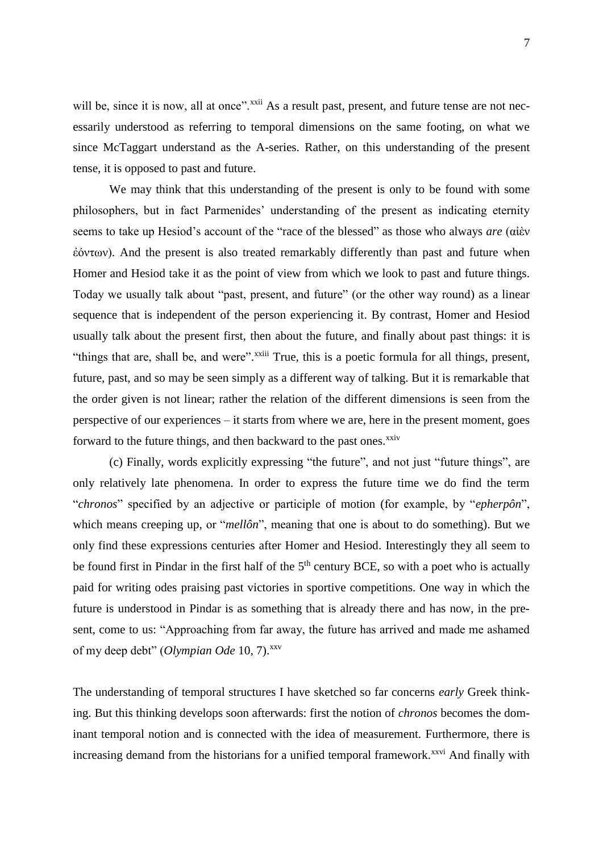will be, since it is now, all at once".<sup>xxii</sup> As a result past, present, and future tense are not necessarily understood as referring to temporal dimensions on the same footing, on what we since McTaggart understand as the A-series. Rather, on this understanding of the present tense, it is opposed to past and future.

We may think that this understanding of the present is only to be found with some philosophers, but in fact Parmenides' understanding of the present as indicating eternity seems to take up Hesiod's account of the "race of the blessed" as those who always *are* (αἰὲν ἐόντων). And the present is also treated remarkably differently than past and future when Homer and Hesiod take it as the point of view from which we look to past and future things. Today we usually talk about "past, present, and future" (or the other way round) as a linear sequence that is independent of the person experiencing it. By contrast, Homer and Hesiod usually talk about the present first, then about the future, and finally about past things: it is "things that are, shall be, and were".<sup>xxiii</sup> True, this is a poetic formula for all things, present, future, past, and so may be seen simply as a different way of talking. But it is remarkable that the order given is not linear; rather the relation of the different dimensions is seen from the perspective of our experiences – it starts from where we are, here in the present moment, goes forward to the future things, and then backward to the past ones.<sup>xxiv</sup>

(c) Finally, words explicitly expressing "the future", and not just "future things", are only relatively late phenomena. In order to express the future time we do find the term "*chronos*" specified by an adjective or participle of motion (for example, by "*epherpôn*", which means creeping up, or "*mellôn*", meaning that one is about to do something). But we only find these expressions centuries after Homer and Hesiod. Interestingly they all seem to be found first in Pindar in the first half of the  $5<sup>th</sup>$  century BCE, so with a poet who is actually paid for writing odes praising past victories in sportive competitions. One way in which the future is understood in Pindar is as something that is already there and has now, in the present, come to us: "Approaching from far away, the future has arrived and made me ashamed of my deep debt" (*Olympian Ode* 10, 7).xxv

The understanding of temporal structures I have sketched so far concerns *early* Greek thinking. But this thinking develops soon afterwards: first the notion of *chronos* becomes the dominant temporal notion and is connected with the idea of measurement. Furthermore, there is increasing demand from the historians for a unified temporal framework.<sup>xxvi</sup> And finally with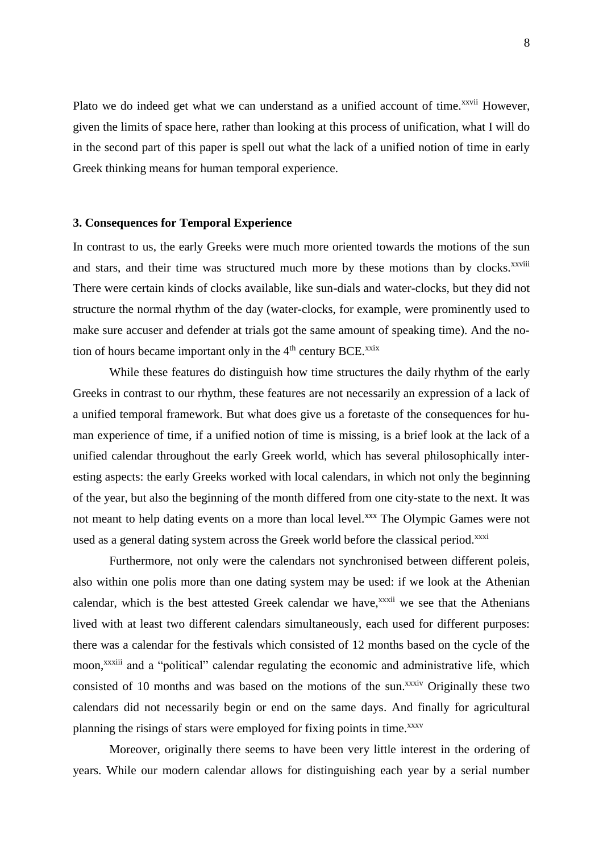Plato we do indeed get what we can understand as a unified account of time.<sup>xxvii</sup> However, given the limits of space here, rather than looking at this process of unification, what I will do in the second part of this paper is spell out what the lack of a unified notion of time in early Greek thinking means for human temporal experience.

#### **3. Consequences for Temporal Experience**

In contrast to us, the early Greeks were much more oriented towards the motions of the sun and stars, and their time was structured much more by these motions than by clocks.<sup>xxviii</sup> There were certain kinds of clocks available, like sun-dials and water-clocks, but they did not structure the normal rhythm of the day (water-clocks, for example, were prominently used to make sure accuser and defender at trials got the same amount of speaking time). And the notion of hours became important only in the  $4<sup>th</sup>$  century BCE.<sup>xxix</sup>

While these features do distinguish how time structures the daily rhythm of the early Greeks in contrast to our rhythm, these features are not necessarily an expression of a lack of a unified temporal framework. But what does give us a foretaste of the consequences for human experience of time, if a unified notion of time is missing, is a brief look at the lack of a unified calendar throughout the early Greek world, which has several philosophically interesting aspects: the early Greeks worked with local calendars, in which not only the beginning of the year, but also the beginning of the month differed from one city-state to the next. It was not meant to help dating events on a more than local level.<sup>xxx</sup> The Olympic Games were not used as a general dating system across the Greek world before the classical period.<sup>xxxi</sup>

Furthermore, not only were the calendars not synchronised between different poleis, also within one polis more than one dating system may be used: if we look at the Athenian calendar, which is the best attested Greek calendar we have, $x^{\text{xxxii}}$  we see that the Athenians lived with at least two different calendars simultaneously, each used for different purposes: there was a calendar for the festivals which consisted of 12 months based on the cycle of the moon,<sup>xxxiii</sup> and a "political" calendar regulating the economic and administrative life, which consisted of 10 months and was based on the motions of the sun.<sup>xxxiv</sup> Originally these two calendars did not necessarily begin or end on the same days. And finally for agricultural planning the risings of stars were employed for fixing points in time.<sup>xxxv</sup>

Moreover, originally there seems to have been very little interest in the ordering of years. While our modern calendar allows for distinguishing each year by a serial number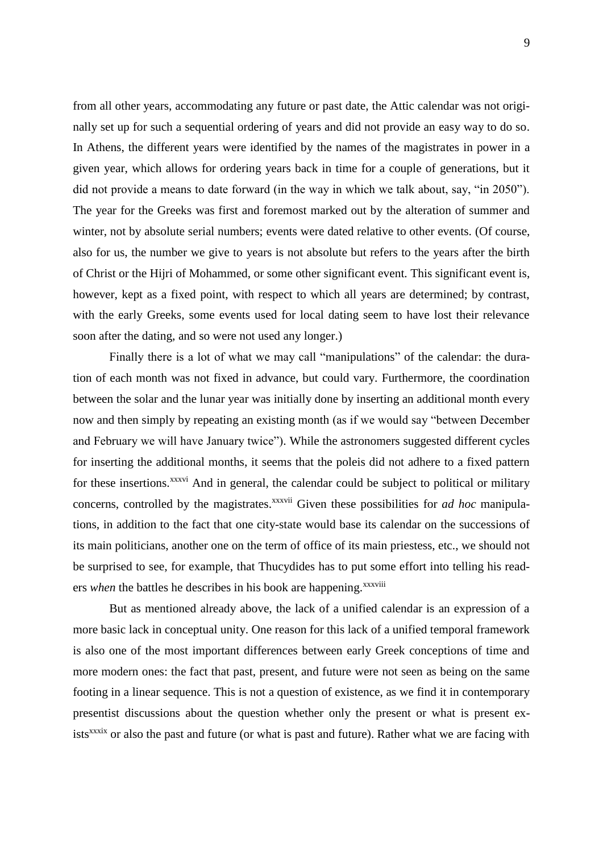from all other years, accommodating any future or past date, the Attic calendar was not originally set up for such a sequential ordering of years and did not provide an easy way to do so. In Athens, the different years were identified by the names of the magistrates in power in a given year, which allows for ordering years back in time for a couple of generations, but it did not provide a means to date forward (in the way in which we talk about, say, "in 2050"). The year for the Greeks was first and foremost marked out by the alteration of summer and winter, not by absolute serial numbers; events were dated relative to other events. (Of course, also for us, the number we give to years is not absolute but refers to the years after the birth of Christ or the Hijri of Mohammed, or some other significant event. This significant event is, however, kept as a fixed point, with respect to which all years are determined; by contrast, with the early Greeks, some events used for local dating seem to have lost their relevance soon after the dating, and so were not used any longer.)

Finally there is a lot of what we may call "manipulations" of the calendar: the duration of each month was not fixed in advance, but could vary. Furthermore, the coordination between the solar and the lunar year was initially done by inserting an additional month every now and then simply by repeating an existing month (as if we would say "between December and February we will have January twice"). While the astronomers suggested different cycles for inserting the additional months, it seems that the poleis did not adhere to a fixed pattern for these insertions.<sup>xxxvi</sup> And in general, the calendar could be subject to political or military concerns, controlled by the magistrates. xxxvii Given these possibilities for *ad hoc* manipulations, in addition to the fact that one city-state would base its calendar on the successions of its main politicians, another one on the term of office of its main priestess, etc., we should not be surprised to see, for example, that Thucydides has to put some effort into telling his readers *when* the battles he describes in his book are happening.<sup>xxxviii</sup>

But as mentioned already above, the lack of a unified calendar is an expression of a more basic lack in conceptual unity. One reason for this lack of a unified temporal framework is also one of the most important differences between early Greek conceptions of time and more modern ones: the fact that past, present, and future were not seen as being on the same footing in a linear sequence. This is not a question of existence, as we find it in contemporary presentist discussions about the question whether only the present or what is present exists<sup>xxxix</sup> or also the past and future (or what is past and future). Rather what we are facing with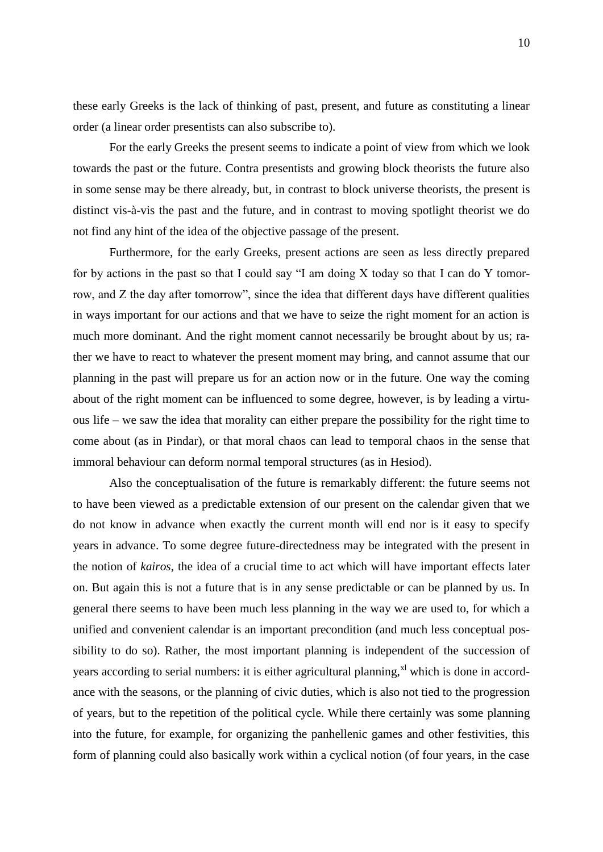these early Greeks is the lack of thinking of past, present, and future as constituting a linear order (a linear order presentists can also subscribe to).

For the early Greeks the present seems to indicate a point of view from which we look towards the past or the future. Contra presentists and growing block theorists the future also in some sense may be there already, but, in contrast to block universe theorists, the present is distinct vis-à-vis the past and the future, and in contrast to moving spotlight theorist we do not find any hint of the idea of the objective passage of the present.

Furthermore, for the early Greeks, present actions are seen as less directly prepared for by actions in the past so that I could say "I am doing X today so that I can do Y tomorrow, and Z the day after tomorrow", since the idea that different days have different qualities in ways important for our actions and that we have to seize the right moment for an action is much more dominant. And the right moment cannot necessarily be brought about by us; rather we have to react to whatever the present moment may bring, and cannot assume that our planning in the past will prepare us for an action now or in the future. One way the coming about of the right moment can be influenced to some degree, however, is by leading a virtuous life – we saw the idea that morality can either prepare the possibility for the right time to come about (as in Pindar), or that moral chaos can lead to temporal chaos in the sense that immoral behaviour can deform normal temporal structures (as in Hesiod).

Also the conceptualisation of the future is remarkably different: the future seems not to have been viewed as a predictable extension of our present on the calendar given that we do not know in advance when exactly the current month will end nor is it easy to specify years in advance. To some degree future-directedness may be integrated with the present in the notion of *kairos*, the idea of a crucial time to act which will have important effects later on. But again this is not a future that is in any sense predictable or can be planned by us. In general there seems to have been much less planning in the way we are used to, for which a unified and convenient calendar is an important precondition (and much less conceptual possibility to do so). Rather, the most important planning is independent of the succession of years according to serial numbers: it is either agricultural planning,<sup>xl</sup> which is done in accordance with the seasons, or the planning of civic duties, which is also not tied to the progression of years, but to the repetition of the political cycle. While there certainly was some planning into the future, for example, for organizing the panhellenic games and other festivities, this form of planning could also basically work within a cyclical notion (of four years, in the case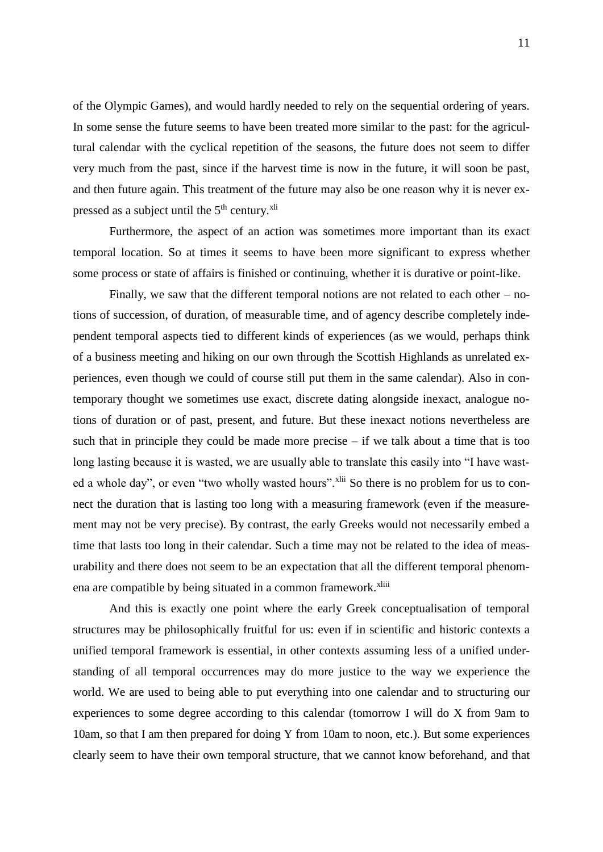of the Olympic Games), and would hardly needed to rely on the sequential ordering of years. In some sense the future seems to have been treated more similar to the past: for the agricultural calendar with the cyclical repetition of the seasons, the future does not seem to differ very much from the past, since if the harvest time is now in the future, it will soon be past, and then future again. This treatment of the future may also be one reason why it is never expressed as a subject until the  $5<sup>th</sup>$  century.<sup>xli</sup>

Furthermore, the aspect of an action was sometimes more important than its exact temporal location. So at times it seems to have been more significant to express whether some process or state of affairs is finished or continuing, whether it is durative or point-like.

Finally, we saw that the different temporal notions are not related to each other – notions of succession, of duration, of measurable time, and of agency describe completely independent temporal aspects tied to different kinds of experiences (as we would, perhaps think of a business meeting and hiking on our own through the Scottish Highlands as unrelated experiences, even though we could of course still put them in the same calendar). Also in contemporary thought we sometimes use exact, discrete dating alongside inexact, analogue notions of duration or of past, present, and future. But these inexact notions nevertheless are such that in principle they could be made more precise  $-$  if we talk about a time that is too long lasting because it is wasted, we are usually able to translate this easily into "I have wasted a whole day", or even "two wholly wasted hours".<sup>xlii</sup> So there is no problem for us to connect the duration that is lasting too long with a measuring framework (even if the measurement may not be very precise). By contrast, the early Greeks would not necessarily embed a time that lasts too long in their calendar. Such a time may not be related to the idea of measurability and there does not seem to be an expectation that all the different temporal phenomena are compatible by being situated in a common framework.<sup>xliii</sup>

And this is exactly one point where the early Greek conceptualisation of temporal structures may be philosophically fruitful for us: even if in scientific and historic contexts a unified temporal framework is essential, in other contexts assuming less of a unified understanding of all temporal occurrences may do more justice to the way we experience the world. We are used to being able to put everything into one calendar and to structuring our experiences to some degree according to this calendar (tomorrow I will do X from 9am to 10am, so that I am then prepared for doing Y from 10am to noon, etc.). But some experiences clearly seem to have their own temporal structure, that we cannot know beforehand, and that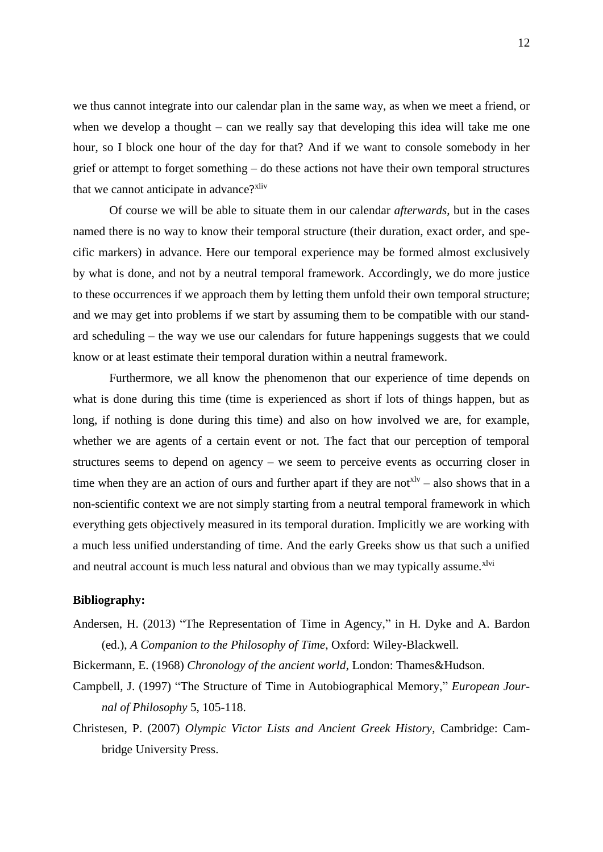we thus cannot integrate into our calendar plan in the same way, as when we meet a friend, or when we develop a thought – can we really say that developing this idea will take me one hour, so I block one hour of the day for that? And if we want to console somebody in her grief or attempt to forget something – do these actions not have their own temporal structures that we cannot anticipate in advance?<sup>xliv</sup>

Of course we will be able to situate them in our calendar *afterwards*, but in the cases named there is no way to know their temporal structure (their duration, exact order, and specific markers) in advance. Here our temporal experience may be formed almost exclusively by what is done, and not by a neutral temporal framework. Accordingly, we do more justice to these occurrences if we approach them by letting them unfold their own temporal structure; and we may get into problems if we start by assuming them to be compatible with our standard scheduling – the way we use our calendars for future happenings suggests that we could know or at least estimate their temporal duration within a neutral framework.

Furthermore, we all know the phenomenon that our experience of time depends on what is done during this time (time is experienced as short if lots of things happen, but as long, if nothing is done during this time) and also on how involved we are, for example, whether we are agents of a certain event or not. The fact that our perception of temporal structures seems to depend on agency – we seem to perceive events as occurring closer in time when they are an action of ours and further apart if they are not<sup> $x/v$ </sup> – also shows that in a non-scientific context we are not simply starting from a neutral temporal framework in which everything gets objectively measured in its temporal duration. Implicitly we are working with a much less unified understanding of time. And the early Greeks show us that such a unified and neutral account is much less natural and obvious than we may typically assume.<sup>xlvi</sup>

#### **Bibliography:**

- Andersen, H. (2013) "The Representation of Time in Agency," in H. Dyke and A. Bardon (ed.), *A Companion to the Philosophy of Time*, Oxford: Wiley-Blackwell.
- Bickermann, E. (1968) *Chronology of the ancient world*, London: Thames&Hudson.
- Campbell, J. (1997) "The Structure of Time in Autobiographical Memory," *European Journal of Philosophy* 5, 105-118.
- Christesen, P. (2007) *Olympic Victor Lists and Ancient Greek History*, Cambridge: Cambridge University Press.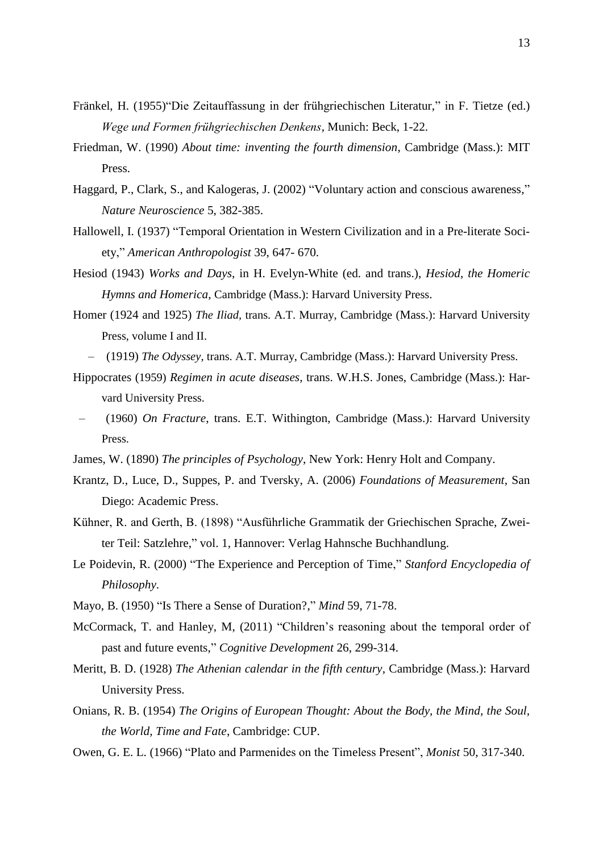- Fränkel, H. (1955)"Die Zeitauffassung in der frühgriechischen Literatur," in F. Tietze (ed.) *Wege und Formen frühgriechischen Denkens*, Munich: Beck, 1-22.
- Friedman, W. (1990) *About time: inventing the fourth dimension*, Cambridge (Mass.): MIT Press.
- Haggard, P., Clark, S., and Kalogeras, J. (2002) "Voluntary action and conscious awareness," *Nature Neuroscience* 5, 382-385.
- Hallowell, I. (1937) "Temporal Orientation in Western Civilization and in a Pre-literate Society," *American Anthropologist* 39, 647- 670.
- Hesiod (1943) *Works and Days*, in H. Evelyn-White (ed. and trans.), *Hesiod, the Homeric Hymns and Homerica*, Cambridge (Mass.): Harvard University Press.
- Homer (1924 and 1925) *The Iliad,* trans. A.T. Murray, Cambridge (Mass.): Harvard University Press, volume I and II.
	- (1919) *The Odyssey,* trans. A.T. Murray, Cambridge (Mass.): Harvard University Press.
- Hippocrates (1959) *Regimen in acute diseases*, trans. W.H.S. Jones, Cambridge (Mass.): Harvard University Press.
- (1960) *On Fracture*, trans. E.T. Withington, Cambridge (Mass.): Harvard University Press.
- James, W. (1890) *The principles of Psychology*, New York: Henry Holt and Company.
- Krantz, D., Luce, D., Suppes, P. and Tversky, A. (2006) *Foundations of Measurement*, San Diego: Academic Press.
- Kühner, R. and Gerth, B. (1898) "Ausführliche Grammatik der Griechischen Sprache, Zweiter Teil: Satzlehre," vol. 1, Hannover: Verlag Hahnsche Buchhandlung.
- Le Poidevin, R. (2000) "The Experience and Perception of Time," *Stanford Encyclopedia of Philosophy*.
- Mayo, B. (1950) "Is There a Sense of Duration?," *Mind* 59, 71-78.
- McCormack, T. and Hanley, M, (2011) "Children's reasoning about the temporal order of past and future events," *Cognitive Development* 26, 299-314.
- Meritt, B. D. (1928) *The Athenian calendar in the fifth century*, Cambridge (Mass.): Harvard University Press.
- Onians, R. B. (1954) *The Origins of European Thought: About the Body, the Mind, the Soul, the World, Time and Fate*, Cambridge: CUP.
- Owen, G. E. L. (1966) "Plato and Parmenides on the Timeless Present", *Monist* 50, 317-340.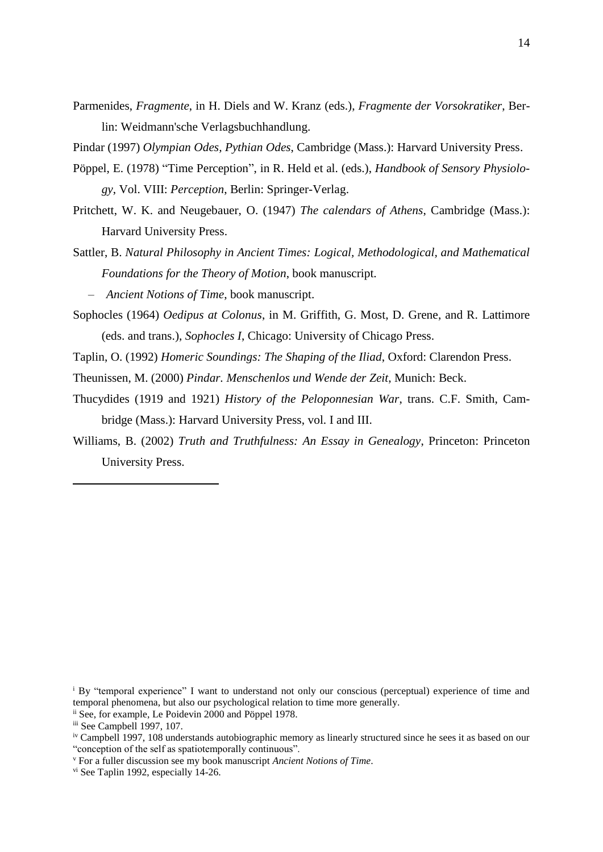Parmenides, *Fragmente*, in H. Diels and W. Kranz (eds.), *Fragmente der Vorsokratiker*, Berlin: Weidmann'sche Verlagsbuchhandlung.

Pindar (1997) *Olympian Odes, Pythian Odes*, Cambridge (Mass.): Harvard University Press.

- Pöppel, E. (1978) "Time Perception", in R. Held et al. (eds.), *Handbook of Sensory Physiology*, Vol. VIII: *Perception*, Berlin: Springer-Verlag.
- Pritchett, W. K. and Neugebauer, O. (1947) *The calendars of Athens*, Cambridge (Mass.): Harvard University Press.
- Sattler, B. *Natural Philosophy in Ancient Times: Logical, Methodological, and Mathematical Foundations for the Theory of Motion*, book manuscript.
	- *Ancient Notions of Time*, book manuscript.
- Sophocles (1964) *Oedipus at Colonus*, in M. Griffith, G. Most, D. Grene, and R. Lattimore (eds. and trans.), *Sophocles I*, Chicago: University of Chicago Press.

Taplin, O. (1992) *Homeric Soundings: The Shaping of the Iliad*, Oxford: Clarendon Press.

- Theunissen, M. (2000) *Pindar. Menschenlos und Wende der Zeit*, Munich: Beck.
- Thucydides (1919 and 1921) *History of the Peloponnesian War*, trans. C.F. Smith, Cambridge (Mass.): Harvard University Press, vol. I and III.
- Williams, B. (2002) *Truth and Truthfulness: An Essay in Genealogy*, Princeton: Princeton University Press.

ii See, for example, Le Poidevin 2000 and Pöppel 1978.

1

<sup>v</sup> For a fuller discussion see my book manuscript *Ancient Notions of Time*.

<sup>&</sup>lt;sup>i</sup> By "temporal experience" I want to understand not only our conscious (perceptual) experience of time and temporal phenomena, but also our psychological relation to time more generally.

iii See Campbell 1997, 107.

iv Campbell 1997, 108 understands autobiographic memory as linearly structured since he sees it as based on our "conception of the self as spatiotemporally continuous".

vi See Taplin 1992, especially 14-26.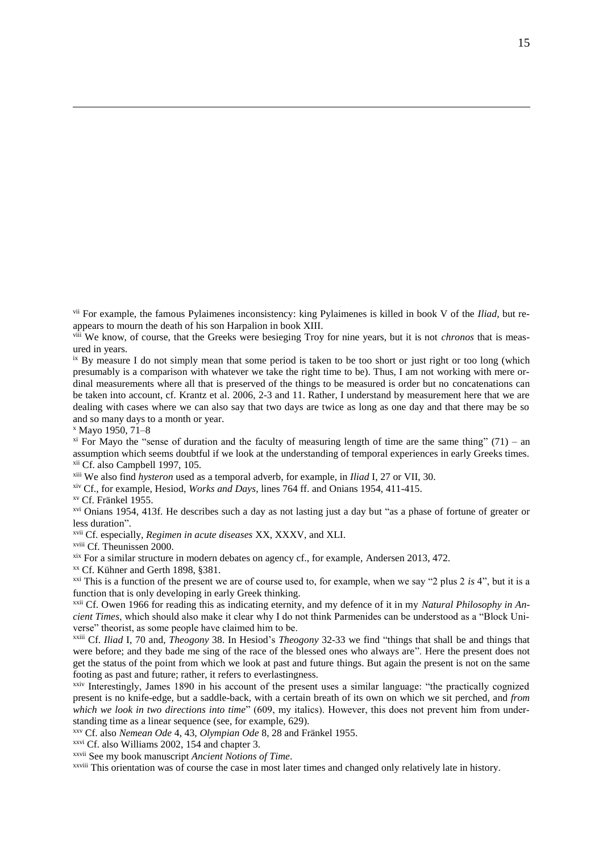vii For example, the famous Pylaimenes inconsistency: king Pylaimenes is killed in book V of the *Iliad*, but reappears to mourn the death of his son Harpalion in book XIII.

viii We know, of course, that the Greeks were besieging Troy for nine years, but it is not *chronos* that is measured in years.

ix By measure I do not simply mean that some period is taken to be too short or just right or too long (which presumably is a comparison with whatever we take the right time to be). Thus, I am not working with mere ordinal measurements where all that is preserved of the things to be measured is order but no concatenations can be taken into account, cf. Krantz et al. 2006, 2-3 and 11. Rather, I understand by measurement here that we are dealing with cases where we can also say that two days are twice as long as one day and that there may be so and so many days to a month or year.

<sup>x</sup> Mayo 1950, 71–8

1

xi For Mayo the "sense of duration and the faculty of measuring length of time are the same thing"  $(71)$  – an assumption which seems doubtful if we look at the understanding of temporal experiences in early Greeks times. xii Cf. also Campbell 1997, 105.

xiii We also find *hysteron* used as a temporal adverb, for example, in *Iliad* I, 27 or VII, 30.

xiv Cf., for example, Hesiod, *Works and Days*, lines 764 ff. and Onians 1954, 411-415.

xv Cf. Fränkel 1955.

xvi Onians 1954, 413f. He describes such a day as not lasting just a day but "as a phase of fortune of greater or less duration".

xvii Cf. especially, *Regimen in acute diseases* XX, XXXV, and XLI.

xviii Cf. Theunissen 2000.

xix For a similar structure in modern debates on agency cf., for example, Andersen 2013, 472.

xx Cf. Kühner and Gerth 1898, §381.

xxi This is a function of the present we are of course used to, for example, when we say "2 plus 2 *is* 4", but it is a function that is only developing in early Greek thinking.

xxii Cf. Owen 1966 for reading this as indicating eternity, and my defence of it in my *Natural Philosophy in Ancient Times*, which should also make it clear why I do not think Parmenides can be understood as a "Block Universe" theorist, as some people have claimed him to be.

xxiii Cf. *Iliad* I, 70 and, *Theogony* 38. In Hesiod's *Theogony* 32-33 we find "things that shall be and things that were before; and they bade me sing of the race of the blessed ones who always are". Here the present does not get the status of the point from which we look at past and future things. But again the present is not on the same footing as past and future; rather, it refers to everlastingness.

xxiv Interestingly, James 1890 in his account of the present uses a similar language: "the practically cognized present is no knife-edge, but a saddle-back, with a certain breath of its own on which we sit perched, and *from*  which we look in two directions into time" (609, my italics). However, this does not prevent him from understanding time as a linear sequence (see, for example, 629).

xxv Cf. also *Nemean Ode* 4, 43, *Olympian Ode* 8, 28 and Fränkel 1955.

xxvi Cf. also Williams 2002, 154 and chapter 3.

xxvii See my book manuscript *Ancient Notions of Time*.

xxviii This orientation was of course the case in most later times and changed only relatively late in history.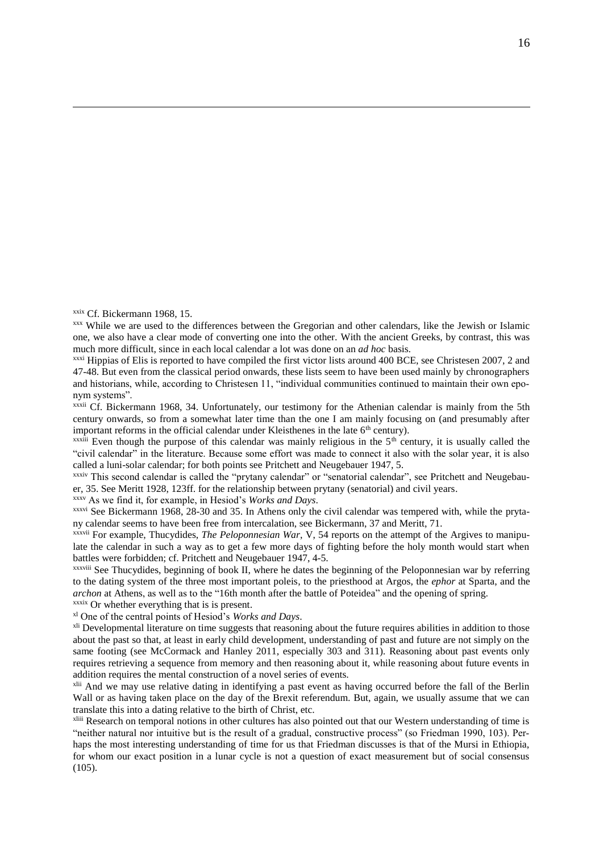xxix Cf. Bickermann 1968, 15.

1

xxx While we are used to the differences between the Gregorian and other calendars, like the Jewish or Islamic one, we also have a clear mode of converting one into the other. With the ancient Greeks, by contrast, this was much more difficult, since in each local calendar a lot was done on an *ad hoc* basis.

xxxi Hippias of Elis is reported to have compiled the first victor lists around 400 BCE, see Christesen 2007, 2 and 47-48. But even from the classical period onwards, these lists seem to have been used mainly by chronographers and historians, while, according to Christesen 11, "individual communities continued to maintain their own eponym systems".

xxxii Cf. Bickermann 1968, 34. Unfortunately, our testimony for the Athenian calendar is mainly from the 5th century onwards, so from a somewhat later time than the one I am mainly focusing on (and presumably after important reforms in the official calendar under Kleisthenes in the late  $6<sup>th</sup>$  century).

 $x^x$ <sup>xxxiii</sup> Even though the purpose of this calendar was mainly religious in the  $5<sup>th</sup>$  century, it is usually called the "civil calendar" in the literature. Because some effort was made to connect it also with the solar year, it is also called a luni-solar calendar; for both points see Pritchett and Neugebauer 1947, 5.

xxxiv This second calendar is called the "prytany calendar" or "senatorial calendar", see Pritchett and Neugebauer, 35. See Meritt 1928, 123ff. for the relationship between prytany (senatorial) and civil years.

xxxv As we find it, for example, in Hesiod's *Works and Days*.

xxxvi See Bickermann 1968, 28-30 and 35. In Athens only the civil calendar was tempered with, while the prytany calendar seems to have been free from intercalation, see Bickermann, 37 and Meritt, 71.

xxxvii For example, Thucydides, *The Peloponnesian War*, V, 54 reports on the attempt of the Argives to manipulate the calendar in such a way as to get a few more days of fighting before the holy month would start when battles were forbidden; cf. Pritchett and Neugebauer 1947, 4-5.

xxxviii See Thucydides, beginning of book II, where he dates the beginning of the Peloponnesian war by referring to the dating system of the three most important poleis, to the priesthood at Argos, the *ephor* at Sparta, and the *archon* at Athens, as well as to the "16th month after the battle of Poteidea" and the opening of spring.

xxxix Or whether everything that is is present.

xl One of the central points of Hesiod's *Works and Days*.

<sup>xli</sup> Developmental literature on time suggests that reasoning about the future requires abilities in addition to those about the past so that, at least in early child development, understanding of past and future are not simply on the same footing (see McCormack and Hanley 2011, especially 303 and 311). Reasoning about past events only requires retrieving a sequence from memory and then reasoning about it, while reasoning about future events in addition requires the mental construction of a novel series of events.

xlii And we may use relative dating in identifying a past event as having occurred before the fall of the Berlin Wall or as having taken place on the day of the Brexit referendum. But, again, we usually assume that we can translate this into a dating relative to the birth of Christ, etc.

xliii Research on temporal notions in other cultures has also pointed out that our Western understanding of time is "neither natural nor intuitive but is the result of a gradual, constructive process" (so Friedman 1990, 103). Perhaps the most interesting understanding of time for us that Friedman discusses is that of the Mursi in Ethiopia, for whom our exact position in a lunar cycle is not a question of exact measurement but of social consensus (105).